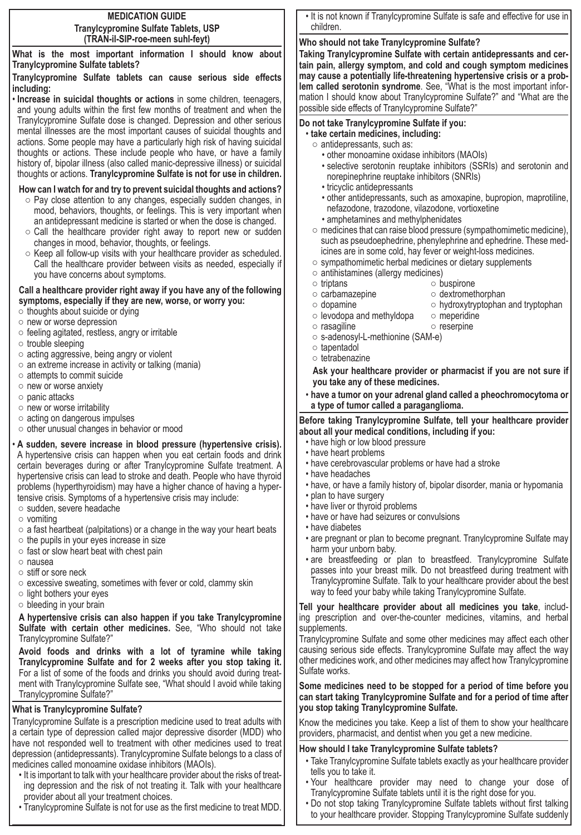#### **MEDICATION GUIDE Tranylcypromine Sulfate Tablets, USP (TRAN-il-SIP-roe-meen suhl-feyt)**

**What is the most important information I should know about Tranylcypromine Sulfate tablets?**

### **Tranylcypromine Sulfate tablets can cause serious side effects including:**

• **Increase in suicidal thoughts or actions** in some children, teenagers, and young adults within the first few months of treatment and when the Tranylcypromine Sulfate dose is changed. Depression and other serious mental illnesses are the most important causes of suicidal thoughts and actions. Some people may have a particularly high risk of having suicidal thoughts or actions. These include people who have, or have a family history of, bipolar illness (also called manic-depressive illness) or suicidal thoughts or actions. **Tranylcypromine Sulfate is not for use in children.** 

## **How can I watch for and try to prevent suicidal thoughts and actions?**

- Pay close attention to any changes, especially sudden changes, in mood, behaviors, thoughts, or feelings. This is very important when an antidepressant medicine is started or when the dose is changed.
- $\circ$  Call the healthcare provider right away to report new or sudden changes in mood, behavior, thoughts, or feelings.
- Keep all follow-up visits with your healthcare provider as scheduled. Call the healthcare provider between visits as needed, especially if you have concerns about symptoms.

### **Call a healthcare provider right away if you have any of the following symptoms, especially if they are new, worse, or worry you:**

- $\circ$  thoughts about suicide or dying
- new or worse depression
- $\circ$  feeling agitated, restless, angry or irritable
- trouble sleeping
- acting aggressive, being angry or violent
- an extreme increase in activity or talking (mania)
- attempts to commit suicide
- new or worse anxiety
- panic attacks
- new or worse irritability
- acting on dangerous impulses
- other unusual changes in behavior or mood
- **A sudden, severe increase in blood pressure (hypertensive crisis).**
- A hypertensive crisis can happen when you eat certain foods and drink certain beverages during or after Tranylcypromine Sulfate treatment. A hypertensive crisis can lead to stroke and death. People who have thyroid problems (hyperthyroidism) may have a higher chance of having a hypertensive crisis. Symptoms of a hypertensive crisis may include:
- sudden, severe headache
- vomiting
- $\circ$  a fast heartbeat (palpitations) or a change in the way your heart beats
- the pupils in your eyes increase in size
- fast or slow heart beat with chest pain
- nausea
- stiff or sore neck
- excessive sweating, sometimes with fever or cold, clammy skin
- light bothers your eyes
- bleeding in your brain

**A hypertensive crisis can also happen if you take Tranylcypromine Sulfate with certain other medicines.** See, "Who should not take Tranylcypromine Sulfate?"

**Avoid foods and drinks with a lot of tyramine while taking Tranylcypromine Sulfate and for 2 weeks after you stop taking it.** For a list of some of the foods and drinks you should avoid during treatment with Tranylcypromine Sulfate see, "What should I avoid while taking Tranylcypromine Sulfate?"

# **What is Tranylcypromine Sulfate?**

Tranylcypromine Sulfate is a prescription medicine used to treat adults with a certain type of depression called major depressive disorder (MDD) who have not responded well to treatment with other medicines used to treat depression (antidepressants). Tranylcypromine Sulfate belongs to a class of medicines called monoamine oxidase inhibitors (MAOIs).

- It is important to talk with your healthcare provider about the risks of treating depression and the risk of not treating it. Talk with your healthcare provider about all your treatment choices.
- Tranylcypromine Sulfate is not for use as the first medicine to treat MDD.

• It is not known if Tranylcypromine Sulfate is safe and effective for use in children.

# **Who should not take Tranylcypromine Sulfate?**

**Taking Tranylcypromine Sulfate with certain antidepressants and certain pain, allergy symptom, and cold and cough symptom medicines may cause a potentially life-threatening hypertensive crisis or a problem called serotonin syndrome**. See, "What is the most important information I should know about Tranylcypromine Sulfate?" and "What are the possible side effects of Tranylcypromine Sulfate?"

### **Do not take Tranylcypromine Sulfate if you:**

- **take certain medicines, including:**
	- antidepressants, such as:
		- other monoamine oxidase inhibitors (MAOIs)
		- selective serotonin reuptake inhibitors (SSRIs) and serotonin and norepinephrine reuptake inhibitors (SNRIs)
		- tricyclic antidepressants
		- other antidepressants, such as amoxapine, bupropion, maprotiline, nefazodone, trazodone, vilazodone, vortioxetine
		- amphetamines and methylphenidates
	- $\circ$  medicines that can raise blood pressure (sympathomimetic medicine), such as pseudoephedrine, phenylephrine and ephedrine. These medicines are in some cold, hay fever or weight-loss medicines.
- sympathomimetic herbal medicines or dietary supplements
- $\circ$  antihistamines (allergy medicines)<br> $\circ$  triptans ○ buspirone
- 
- carbamazepine dextromethorphan
- dopamine hydroxytryptophan and tryptophan
- $\circ$  levodopa and methyldopa  $\circ$  meperidine
- rasagiline reserpine
- s-adenosyl-L-methionine (SAM-e)
- tapentadol
- tetrabenazine

**Ask your healthcare provider or pharmacist if you are not sure if you take any of these medicines.**

• **have a tumor on your adrenal gland called a pheochromocytoma or a type of tumor called a paraganglioma.**

### **Before taking Tranylcypromine Sulfate, tell your healthcare provider about all your medical conditions, including if you:**

- have high or low blood pressure
- have heart problems
- have cerebrovascular problems or have had a stroke
- have headaches
- have, or have a family history of, bipolar disorder, mania or hypomania
- plan to have surgery
- have liver or thyroid problems
- have or have had seizures or convulsions
- have diabetes
- are pregnant or plan to become pregnant. Tranylcypromine Sulfate may harm your unborn baby.
- are breastfeeding or plan to breastfeed. Tranylcypromine Sulfate passes into your breast milk. Do not breastfeed during treatment with Tranylcypromine Sulfate. Talk to your healthcare provider about the best way to feed your baby while taking Tranylcypromine Sulfate.

**Tell your healthcare provider about all medicines you take**, including prescription and over-the-counter medicines, vitamins, and herbal supplements.

Tranylcypromine Sulfate and some other medicines may affect each other causing serious side effects. Tranylcypromine Sulfate may affect the way other medicines work, and other medicines may affect how Tranylcypromine Sulfate works.

**Some medicines need to be stopped for a period of time before you can start taking Tranylcypromine Sulfate and for a period of time after you stop taking Tranylcypromine Sulfate.**

Know the medicines you take. Keep a list of them to show your healthcare providers, pharmacist, and dentist when you get a new medicine.

### **How should I take Tranylcypromine Sulfate tablets?**

- Take Tranylcypromine Sulfate tablets exactly as your healthcare provider tells you to take it.
- Your healthcare provider may need to change your dose of Tranylcypromine Sulfate tablets until it is the right dose for you.
- Do not stop taking Tranylcypromine Sulfate tablets without first talking to your healthcare provider. Stopping Tranylcypromine Sulfate suddenly